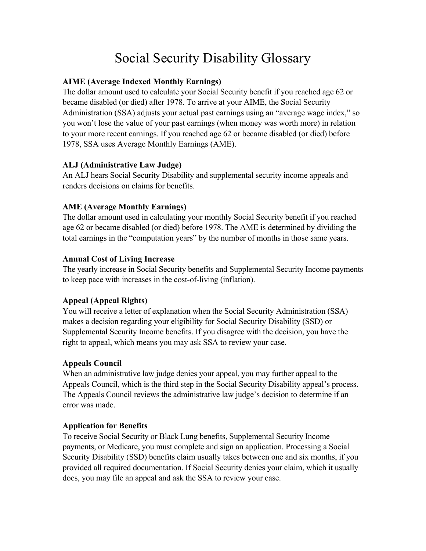# Social Security Disability Glossary

## **AIME (Average Indexed Monthly Earnings)**

The dollar amount used to calculate your Social Security benefit if you reached age 62 or became disabled (or died) after 1978. To arrive at your AIME, the Social Security Administration (SSA) adjusts your actual past earnings using an "average wage index," so you won't lose the value of your past earnings (when money was worth more) in relation to your more recent earnings. If you reached age 62 or became disabled (or died) before 1978, SSA uses Average Monthly Earnings (AME).

## **ALJ (Administrative Law Judge)**

An ALJ hears Social Security Disability and supplemental security income appeals and renders decisions on claims for benefits.

## **AME (Average Monthly Earnings)**

The dollar amount used in calculating your monthly Social Security benefit if you reached age 62 or became disabled (or died) before 1978. The AME is determined by dividing the total earnings in the "computation years" by the number of months in those same years.

## **Annual Cost of Living Increase**

The yearly increase in Social Security benefits and Supplemental Security Income payments to keep pace with increases in the cost-of-living (inflation).

## **Appeal (Appeal Rights)**

You will receive a letter of explanation when the Social Security Administration (SSA) makes a decision regarding your eligibility for Social Security Disability (SSD) or Supplemental Security Income benefits. If you disagree with the decision, you have the right to appeal, which means you may ask SSA to review your case.

#### **Appeals Council**

When an administrative law judge denies your appeal, you may further appeal to the Appeals Council, which is the third step in the Social Security Disability appeal's process. The Appeals Council reviews the administrative law judge's decision to determine if an error was made.

#### **Application for Benefits**

To receive Social Security or Black Lung benefits, Supplemental Security Income payments, or Medicare, you must complete and sign an application. Processing a Social Security Disability (SSD) benefits claim usually takes between one and six months, if you provided all required documentation. If Social Security denies your claim, which it usually does, you may file an appeal and ask the SSA to review your case.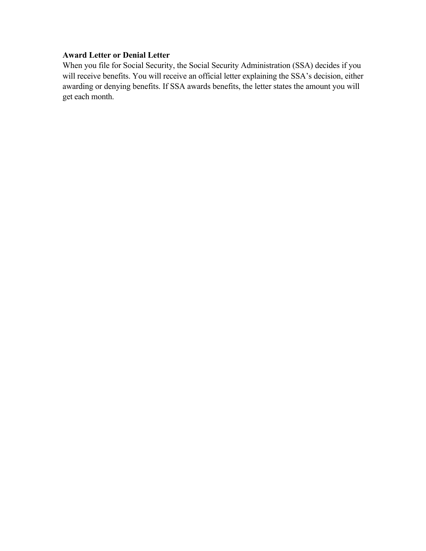## **Award Letter or Denial Letter**

When you file for Social Security, the Social Security Administration (SSA) decides if you will receive benefits. You will receive an official letter explaining the SSA's decision, either awarding or denying benefits. If SSA awards benefits, the letter states the amount you will get each month.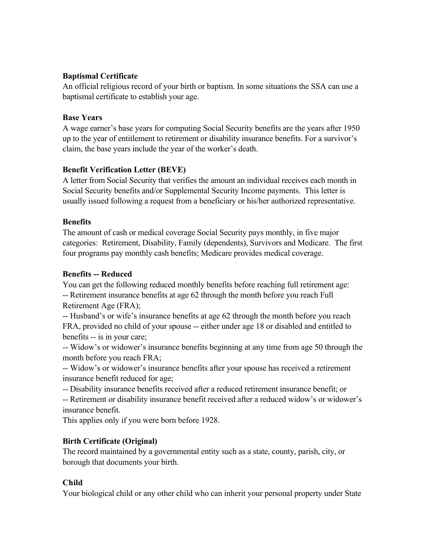#### **Baptismal Certificate**

An official religious record of your birth or baptism. In some situations the SSA can use a baptismal certificate to establish your age.

#### **Base Years**

A wage earner's base years for computing Social Security benefits are the years after 1950 up to the year of entitlement to retirement or disability insurance benefits. For a survivor's claim, the base years include the year of the worker's death.

# **Benefit Verification Letter (BEVE)**

A letter from Social Security that verifies the amount an individual receives each month in Social Security benefits and/or Supplemental Security Income payments. This letter is usually issued following a request from a beneficiary or his/her authorized representative.

## **Benefits**

The amount of cash or medical coverage Social Security pays monthly, in five major categories: Retirement, Disability, Family (dependents), Survivors and Medicare. The first four programs pay monthly cash benefits; Medicare provides medical coverage.

## **Benefits -- Reduced**

You can get the following reduced monthly benefits before reaching full retirement age: -- Retirement insurance benefits at age 62 through the month before you reach Full Retirement Age (FRA);

-- Husband's or wife's insurance benefits at age 62 through the month before you reach FRA, provided no child of your spouse -- either under age 18 or disabled and entitled to benefits -- is in your care;

-- Widow's or widower's insurance benefits beginning at any time from age 50 through the month before you reach FRA;

-- Widow's or widower's insurance benefits after your spouse has received a retirement insurance benefit reduced for age;

-- Disability insurance benefits received after a reduced retirement insurance benefit; or

-- Retirement or disability insurance benefit received after a reduced widow's or widower's insurance benefit.

This applies only if you were born before 1928.

## **Birth Certificate (Original)**

The record maintained by a governmental entity such as a state, county, parish, city, or borough that documents your birth.

# **Child**

Your biological child or any other child who can inherit your personal property under State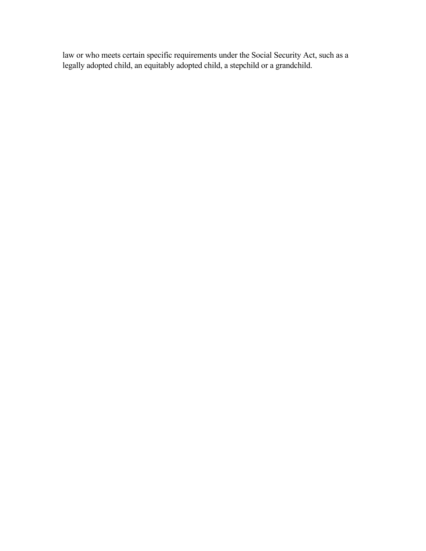law or who meets certain specific requirements under the Social Security Act, such as a legally adopted child, an equitably adopted child, a stepchild or a grandchild.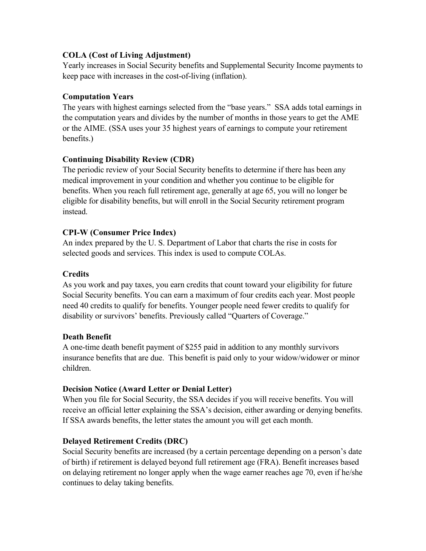#### **COLA (Cost of Living Adjustment)**

Yearly increases in Social Security benefits and Supplemental Security Income payments to keep pace with increases in the cost-of-living (inflation).

## **Computation Years**

The years with highest earnings selected from the "base years." SSA adds total earnings in the computation years and divides by the number of months in those years to get the AME or the AIME. (SSA uses your 35 highest years of earnings to compute your retirement benefits.)

# **Continuing Disability Review (CDR)**

The periodic review of your Social Security benefits to determine if there has been any medical improvement in your condition and whether you continue to be eligible for benefits. When you reach full retirement age, generally at age 65, you will no longer be eligible for disability benefits, but will enroll in the Social Security retirement program instead.

## **CPI-W (Consumer Price Index)**

An index prepared by the U. S. Department of Labor that charts the rise in costs for selected goods and services. This index is used to compute COLAs.

## **Credits**

As you work and pay taxes, you earn credits that count toward your eligibility for future Social Security benefits. You can earn a maximum of four credits each year. Most people need 40 credits to qualify for benefits. Younger people need fewer credits to qualify for disability or survivors' benefits. Previously called "Quarters of Coverage."

## **Death Benefit**

A one-time death benefit payment of \$255 paid in addition to any monthly survivors insurance benefits that are due. This benefit is paid only to your widow/widower or minor children.

## **Decision Notice (Award Letter or Denial Letter)**

When you file for Social Security, the SSA decides if you will receive benefits. You will receive an official letter explaining the SSA's decision, either awarding or denying benefits. If SSA awards benefits, the letter states the amount you will get each month.

# **Delayed Retirement Credits (DRC)**

Social Security benefits are increased (by a certain percentage depending on a person's date of birth) if retirement is delayed beyond full retirement age (FRA). Benefit increases based on delaying retirement no longer apply when the wage earner reaches age 70, even if he/she continues to delay taking benefits.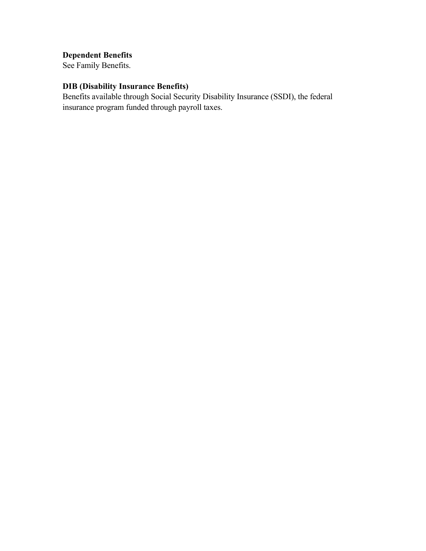# **Dependent Benefits**

See Family Benefits.

# **DIB (Disability Insurance Benefits)**

Benefits available through Social Security Disability Insurance (SSDI), the federal insurance program funded through payroll taxes.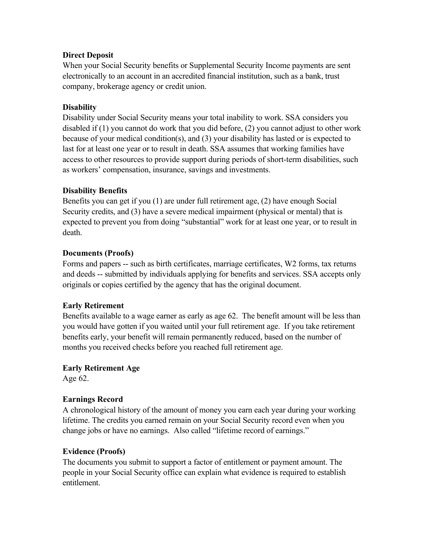#### **Direct Deposit**

When your Social Security benefits or Supplemental Security Income payments are sent electronically to an account in an accredited financial institution, such as a bank, trust company, brokerage agency or credit union.

## **Disability**

Disability under Social Security means your total inability to work. SSA considers you disabled if (1) you cannot do work that you did before, (2) you cannot adjust to other work because of your medical condition(s), and (3) your disability has lasted or is expected to last for at least one year or to result in death. SSA assumes that working families have access to other resources to provide support during periods of short-term disabilities, such as workers' compensation, insurance, savings and investments.

## **Disability Benefits**

Benefits you can get if you (1) are under full retirement age, (2) have enough Social Security credits, and (3) have a severe medical impairment (physical or mental) that is expected to prevent you from doing "substantial" work for at least one year, or to result in death.

#### **Documents (Proofs)**

Forms and papers -- such as birth certificates, marriage certificates, W2 forms, tax returns and deeds -- submitted by individuals applying for benefits and services. SSA accepts only originals or copies certified by the agency that has the original document.

#### **Early Retirement**

Benefits available to a wage earner as early as age 62. The benefit amount will be less than you would have gotten if you waited until your full retirement age. If you take retirement benefits early, your benefit will remain permanently reduced, based on the number of months you received checks before you reached full retirement age.

#### **Early Retirement Age**

Age 62.

## **Earnings Record**

A chronological history of the amount of money you earn each year during your working lifetime. The credits you earned remain on your Social Security record even when you change jobs or have no earnings. Also called "lifetime record of earnings."

#### **Evidence (Proofs)**

The documents you submit to support a factor of entitlement or payment amount. The people in your Social Security office can explain what evidence is required to establish entitlement.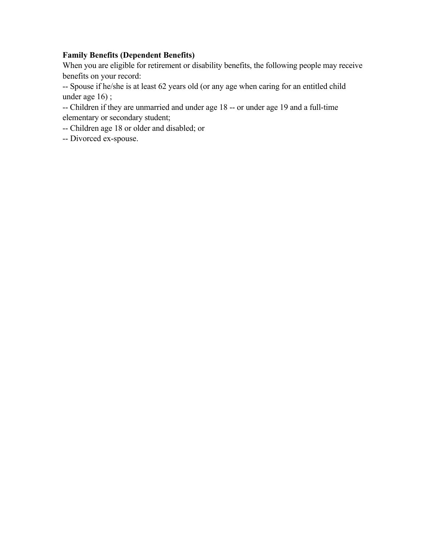## **Family Benefits (Dependent Benefits)**

When you are eligible for retirement or disability benefits, the following people may receive benefits on your record:

-- Spouse if he/she is at least 62 years old (or any age when caring for an entitled child under age 16) ;

-- Children if they are unmarried and under age 18 -- or under age 19 and a full-time elementary or secondary student;

-- Children age 18 or older and disabled; or

-- Divorced ex-spouse.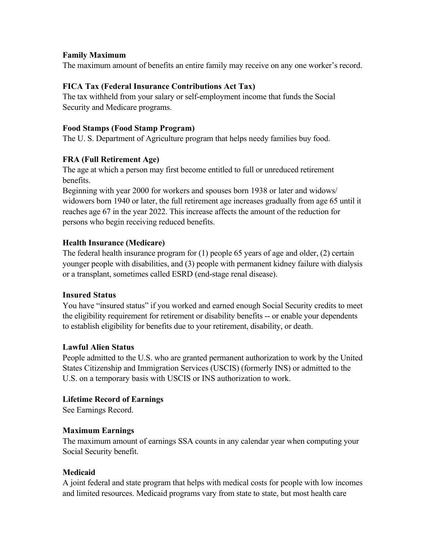#### **Family Maximum**

The maximum amount of benefits an entire family may receive on any one worker's record.

#### **FICA Tax (Federal Insurance Contributions Act Tax)**

The tax withheld from your salary or self-employment income that funds the Social Security and Medicare programs.

#### **Food Stamps (Food Stamp Program)**

The U. S. Department of Agriculture program that helps needy families buy food.

#### **FRA (Full Retirement Age)**

The age at which a person may first become entitled to full or unreduced retirement benefits.

Beginning with year 2000 for workers and spouses born 1938 or later and widows/ widowers born 1940 or later, the full retirement age increases gradually from age 65 until it reaches age 67 in the year 2022. This increase affects the amount of the reduction for persons who begin receiving reduced benefits.

#### **Health Insurance (Medicare)**

The federal health insurance program for (1) people 65 years of age and older, (2) certain younger people with disabilities, and (3) people with permanent kidney failure with dialysis or a transplant, sometimes called ESRD (end-stage renal disease).

#### **Insured Status**

You have "insured status" if you worked and earned enough Social Security credits to meet the eligibility requirement for retirement or disability benefits -- or enable your dependents to establish eligibility for benefits due to your retirement, disability, or death.

#### **Lawful Alien Status**

People admitted to the U.S. who are granted permanent authorization to work by the United States Citizenship and Immigration Services (USCIS) (formerly INS) or admitted to the U.S. on a temporary basis with USCIS or INS authorization to work.

#### **Lifetime Record of Earnings**

See Earnings Record.

#### **Maximum Earnings**

The maximum amount of earnings SSA counts in any calendar year when computing your Social Security benefit.

#### **Medicaid**

A joint federal and state program that helps with medical costs for people with low incomes and limited resources. Medicaid programs vary from state to state, but most health care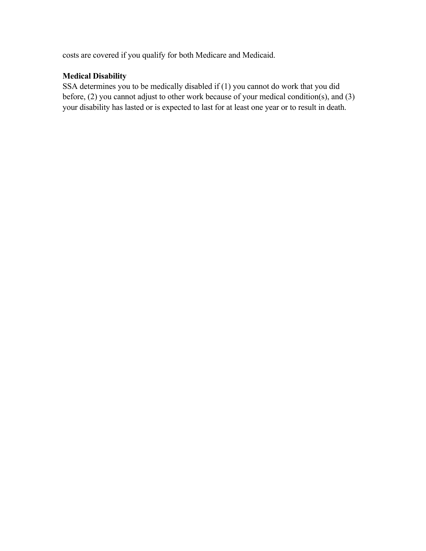costs are covered if you qualify for both Medicare and Medicaid.

## **Medical Disability**

SSA determines you to be medically disabled if (1) you cannot do work that you did before, (2) you cannot adjust to other work because of your medical condition(s), and (3) your disability has lasted or is expected to last for at least one year or to result in death.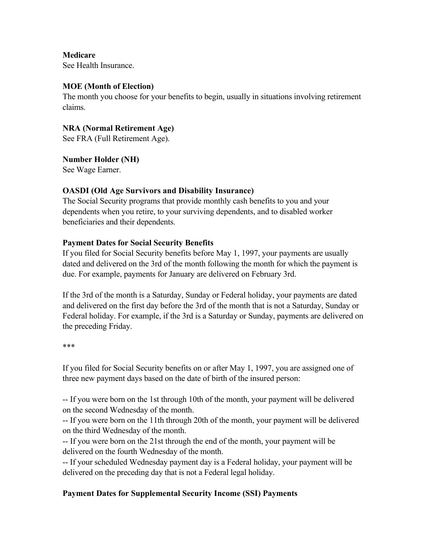**Medicare**

See Health Insurance.

#### **MOE (Month of Election)**

The month you choose for your benefits to begin, usually in situations involving retirement claims.

#### **NRA (Normal Retirement Age)**

See FRA (Full Retirement Age).

**Number Holder (NH)** See Wage Earner.

# **OASDI (Old Age Survivors and Disability Insurance)**

The Social Security programs that provide monthly cash benefits to you and your dependents when you retire, to your surviving dependents, and to disabled worker beneficiaries and their dependents.

## **Payment Dates for Social Security Benefits**

If you filed for Social Security benefits before May 1, 1997, your payments are usually dated and delivered on the 3rd of the month following the month for which the payment is due. For example, payments for January are delivered on February 3rd.

If the 3rd of the month is a Saturday, Sunday or Federal holiday, your payments are dated and delivered on the first day before the 3rd of the month that is not a Saturday, Sunday or Federal holiday. For example, if the 3rd is a Saturday or Sunday, payments are delivered on the preceding Friday.

\*\*\*

If you filed for Social Security benefits on or after May 1, 1997, you are assigned one of three new payment days based on the date of birth of the insured person:

-- If you were born on the 1st through 10th of the month, your payment will be delivered on the second Wednesday of the month.

-- If you were born on the 11th through 20th of the month, your payment will be delivered on the third Wednesday of the month.

-- If you were born on the 21st through the end of the month, your payment will be delivered on the fourth Wednesday of the month.

-- If your scheduled Wednesday payment day is a Federal holiday, your payment will be delivered on the preceding day that is not a Federal legal holiday.

## **Payment Dates for Supplemental Security Income (SSI) Payments**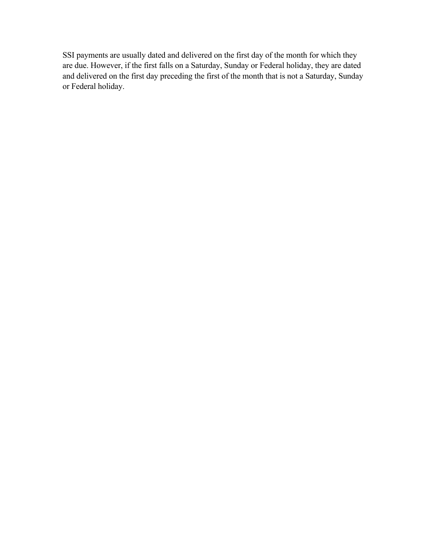SSI payments are usually dated and delivered on the first day of the month for which they are due. However, if the first falls on a Saturday, Sunday or Federal holiday, they are dated and delivered on the first day preceding the first of the month that is not a Saturday, Sunday or Federal holiday.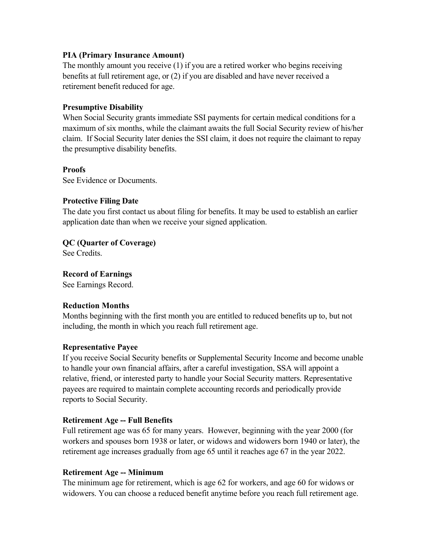#### **PIA (Primary Insurance Amount)**

The monthly amount you receive (1) if you are a retired worker who begins receiving benefits at full retirement age, or (2) if you are disabled and have never received a retirement benefit reduced for age.

#### **Presumptive Disability**

When Social Security grants immediate SSI payments for certain medical conditions for a maximum of six months, while the claimant awaits the full Social Security review of his/her claim. If Social Security later denies the SSI claim, it does not require the claimant to repay the presumptive disability benefits.

#### **Proofs**

See Evidence or Documents.

#### **Protective Filing Date**

The date you first contact us about filing for benefits. It may be used to establish an earlier application date than when we receive your signed application.

**QC (Quarter of Coverage)**

See Credits.

**Record of Earnings** See Earnings Record.

#### **Reduction Months**

Months beginning with the first month you are entitled to reduced benefits up to, but not including, the month in which you reach full retirement age.

#### **Representative Payee**

If you receive Social Security benefits or Supplemental Security Income and become unable to handle your own financial affairs, after a careful investigation, SSA will appoint a relative, friend, or interested party to handle your Social Security matters. Representative payees are required to maintain complete accounting records and periodically provide reports to Social Security.

#### **Retirement Age -- Full Benefits**

Full retirement age was 65 for many years. However, beginning with the year 2000 (for workers and spouses born 1938 or later, or widows and widowers born 1940 or later), the retirement age increases gradually from age 65 until it reaches age 67 in the year 2022.

#### **Retirement Age -- Minimum**

The minimum age for retirement, which is age 62 for workers, and age 60 for widows or widowers. You can choose a reduced benefit anytime before you reach full retirement age.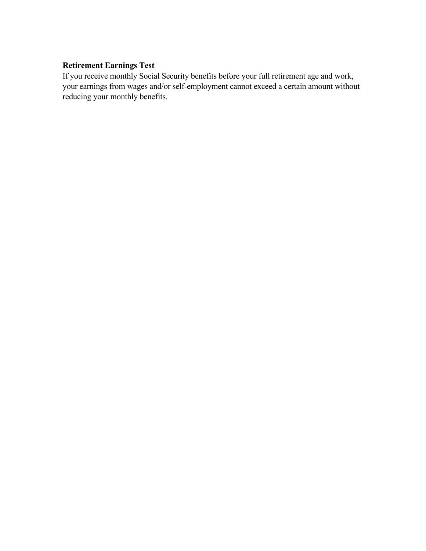#### **Retirement Earnings Test**

If you receive monthly Social Security benefits before your full retirement age and work, your earnings from wages and/or self-employment cannot exceed a certain amount without reducing your monthly benefits.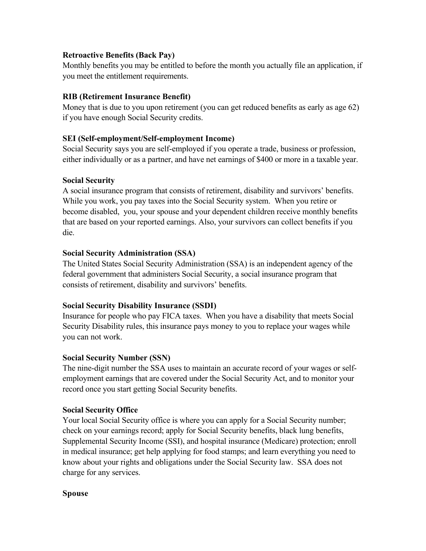#### **Retroactive Benefits (Back Pay)**

Monthly benefits you may be entitled to before the month you actually file an application, if you meet the entitlement requirements.

## **RIB (Retirement Insurance Benefit)**

Money that is due to you upon retirement (you can get reduced benefits as early as age 62) if you have enough Social Security credits.

## **SEI (Self-employment/Self-employment Income)**

Social Security says you are self-employed if you operate a trade, business or profession, either individually or as a partner, and have net earnings of \$400 or more in a taxable year.

## **Social Security**

A social insurance program that consists of retirement, disability and survivors' benefits. While you work, you pay taxes into the Social Security system. When you retire or become disabled, you, your spouse and your dependent children receive monthly benefits that are based on your reported earnings. Also, your survivors can collect benefits if you die.

## **Social Security Administration (SSA)**

The United States Social Security Administration (SSA) is an independent agency of the federal government that administers Social Security, a social insurance program that consists of retirement, disability and survivors' benefits.

#### **Social Security Disability Insurance (SSDI)**

Insurance for people who pay FICA taxes. When you have a disability that meets Social Security Disability rules, this insurance pays money to you to replace your wages while you can not work.

#### **Social Security Number (SSN)**

The nine-digit number the SSA uses to maintain an accurate record of your wages or selfemployment earnings that are covered under the Social Security Act, and to monitor your record once you start getting Social Security benefits.

#### **Social Security Office**

Your local Social Security office is where you can apply for a Social Security number; check on your earnings record; apply for Social Security benefits, black lung benefits, Supplemental Security Income (SSI), and hospital insurance (Medicare) protection; enroll in medical insurance; get help applying for food stamps; and learn everything you need to know about your rights and obligations under the Social Security law. SSA does not charge for any services.

#### **Spouse**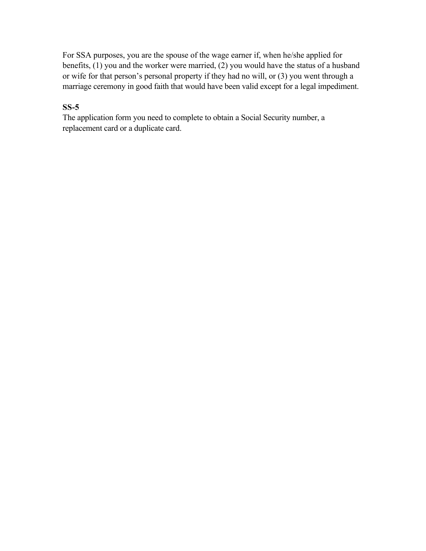For SSA purposes, you are the spouse of the wage earner if, when he/she applied for benefits, (1) you and the worker were married, (2) you would have the status of a husband or wife for that person's personal property if they had no will, or (3) you went through a marriage ceremony in good faith that would have been valid except for a legal impediment.

## **SS-5**

The application form you need to complete to obtain a Social Security number, a replacement card or a duplicate card.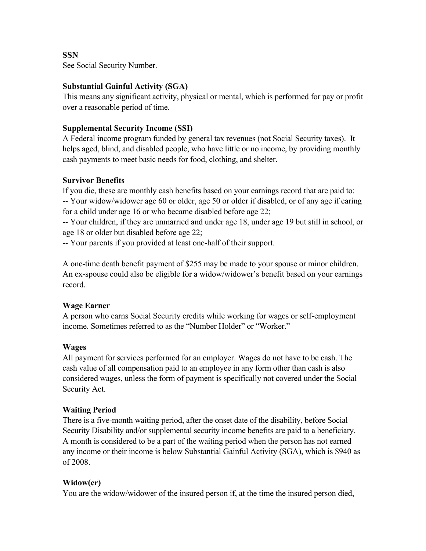**SSN**

See Social Security Number.

#### **Substantial Gainful Activity (SGA)**

This means any significant activity, physical or mental, which is performed for pay or profit over a reasonable period of time.

#### **Supplemental Security Income (SSI)**

A Federal income program funded by general tax revenues (not Social Security taxes). It helps aged, blind, and disabled people, who have little or no income, by providing monthly cash payments to meet basic needs for food, clothing, and shelter.

#### **Survivor Benefits**

If you die, these are monthly cash benefits based on your earnings record that are paid to: -- Your widow/widower age 60 or older, age 50 or older if disabled, or of any age if caring for a child under age 16 or who became disabled before age 22;

-- Your children, if they are unmarried and under age 18, under age 19 but still in school, or age 18 or older but disabled before age 22;

-- Your parents if you provided at least one-half of their support.

A one-time death benefit payment of \$255 may be made to your spouse or minor children. An ex-spouse could also be eligible for a widow/widower's benefit based on your earnings record.

#### **Wage Earner**

A person who earns Social Security credits while working for wages or self-employment income. Sometimes referred to as the "Number Holder" or "Worker."

#### **Wages**

All payment for services performed for an employer. Wages do not have to be cash. The cash value of all compensation paid to an employee in any form other than cash is also considered wages, unless the form of payment is specifically not covered under the Social Security Act.

#### **Waiting Period**

There is a five-month waiting period, after the onset date of the disability, before Social Security Disability and/or supplemental security income benefits are paid to a beneficiary. A month is considered to be a part of the waiting period when the person has not earned any income or their income is below Substantial Gainful Activity (SGA), which is \$940 as of 2008.

#### **Widow(er)**

You are the widow/widower of the insured person if, at the time the insured person died,